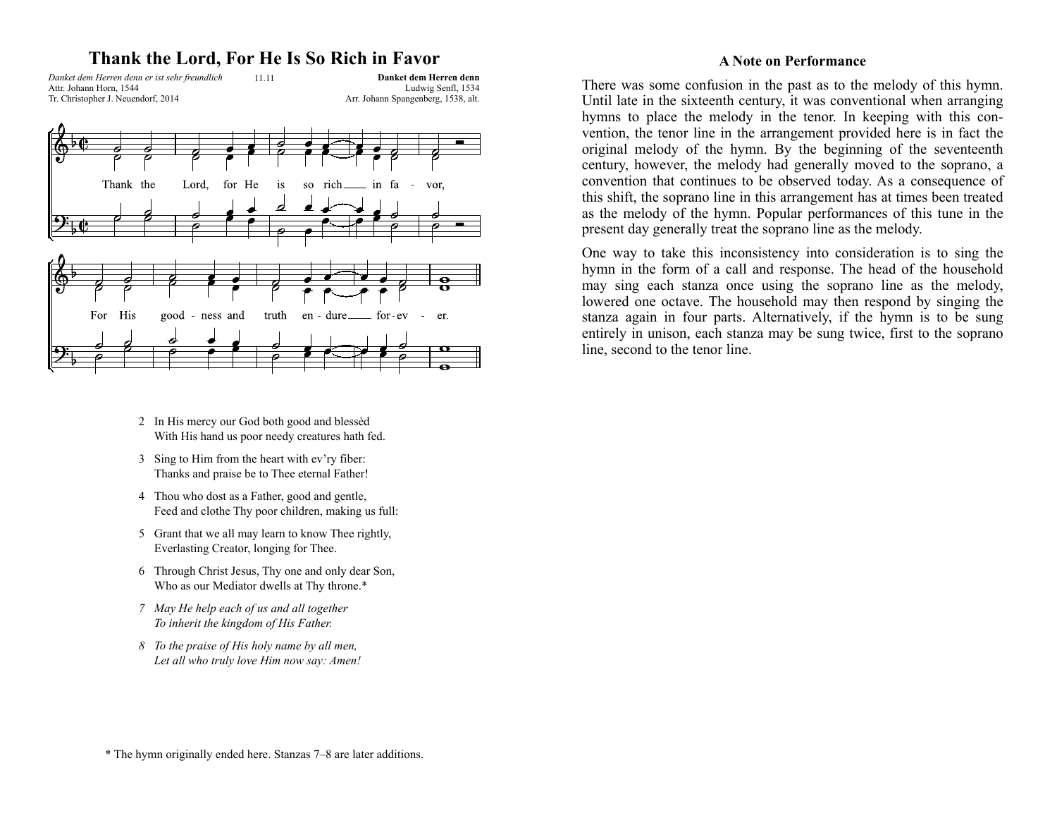### **Thank the Lord, For He Is So Rich in Favor**

*Danket dem Herren denn er ist sehr freundlich* 11.11 Attr. Johann Horn, 1544 Tr. Christopher J. Neuendorf, 2014

**Danket dem Herren denn**  Ludwig Senfl, 1534 Arr. Johann Spangenberg, 1538, alt.



- 2 In His mercy our God both good and blessèd With His hand us poor needy creatures hath fed.
- 3 Sing to Him from the heart with ev'ry fiber: Thanks and praise be to Thee eternal Father!
- 4 Thou who dost as a Father, good and gentle, Feed and clothe Thy poor children, making us full:
- 5 Grant that we all may learn to know Thee rightly, Everlasting Creator, longing for Thee.
- 6 Through Christ Jesus, Thy one and only dear Son, Who as our Mediator dwells at Thy throne.\*
- *7 May He help each of us and all together To inherit the kingdom of His Father.*
- *8 To the praise of His holy name by all men, Let all who truly love Him now say: Amen!*

#### **A Note on Performance**

There was some confusion in the past as to the melody of this hymn. Until late in the sixteenth century, it was conventional when arranging hymns to place the melody in the tenor. In keeping with this convention, the tenor line in the arrangement provided here is in fact the original melody of the hymn. By the beginning of the seventeenth century, however, the melody had generally moved to the soprano, a convention that continues to be observed today. As a consequence of this shift, the soprano line in this arrangement has at times been treated as the melody of the hymn. Popular performances of this tune in the present day generally treat the soprano line as the melody.

One way to take this inconsistency into consideration is to sing the hymn in the form of a call and response. The head of the household may sing each stanza once using the soprano line as the melody, lowered one octave. The household may then respond by singing the stanza again in four parts. Alternatively, if the hymn is to be sung entirely in unison, each stanza may be sung twice, first to the soprano line, second to the tenor line.

\* The hymn originally ended here. Stanzas 7–8 are later additions.